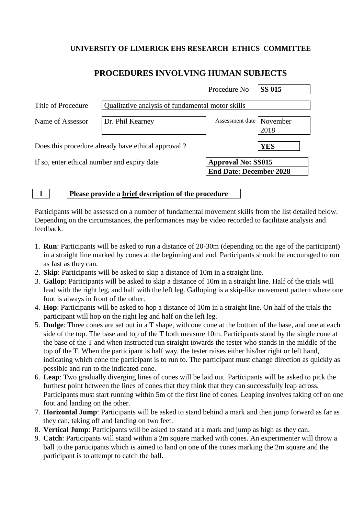# **UNIVERSITY OF LIMERICK EHS RESEARCH ETHICS COMMITTEE**

# **PROCEDURES INVOLVING HUMAN SUBJECTS**

|                                                    |                                                  | Procedure No                                                | <b>SS 015</b> |  |
|----------------------------------------------------|--------------------------------------------------|-------------------------------------------------------------|---------------|--|
| Title of Procedure                                 | Qualitative analysis of fundamental motor skills |                                                             |               |  |
| Name of Assessor                                   | Dr. Phil Kearney                                 | Assessment date   November                                  | 2018          |  |
| Does this procedure already have ethical approval? |                                                  |                                                             | <b>YES</b>    |  |
| If so, enter ethical number and expiry date        |                                                  | <b>Approval No: SS015</b><br><b>End Date: December 2028</b> |               |  |

**1 Please provide a brief description of the procedure**

Participants will be assessed on a number of fundamental movement skills from the list detailed below. Depending on the circumstances, the performances may be video recorded to facilitate analysis and feedback.

- 1. **Run**: Participants will be asked to run a distance of 20-30m (depending on the age of the participant) in a straight line marked by cones at the beginning and end. Participants should be encouraged to run as fast as they can.
- 2. **Skip**: Participants will be asked to skip a distance of 10m in a straight line.
- 3. **Gallop**: Participants will be asked to skip a distance of 10m in a straight line. Half of the trials will lead with the right leg, and half with the left leg. Galloping is a skip-like movement pattern where one foot is always in front of the other.
- 4. **Hop**: Participants will be asked to hop a distance of 10m in a straight line. On half of the trials the participant will hop on the right leg and half on the left leg.
- 5. **Dodge**: Three cones are set out in a T shape, with one cone at the bottom of the base, and one at each side of the top. The base and top of the T both measure 10m. Participants stand by the single cone at the base of the T and when instructed run straight towards the tester who stands in the middle of the top of the T. When the participant is half way, the tester raises either his/her right or left hand, indicating which cone the participant is to run to. The participant must change direction as quickly as possible and run to the indicated cone.
- 6. **Leap**: Two gradually diverging lines of cones will be laid out. Participants will be asked to pick the furthest point between the lines of cones that they think that they can successfully leap across. Participants must start running within 5m of the first line of cones. Leaping involves taking off on one foot and landing on the other.
- 7. **Horizontal Jump**: Participants will be asked to stand behind a mark and then jump forward as far as they can, taking off and landing on two feet.
- 8. **Vertical Jump**: Participants will be asked to stand at a mark and jump as high as they can.
- 9. **Catch**: Participants will stand within a 2m square marked with cones. An experimenter will throw a ball to the participants which is aimed to land on one of the cones marking the 2m square and the participant is to attempt to catch the ball.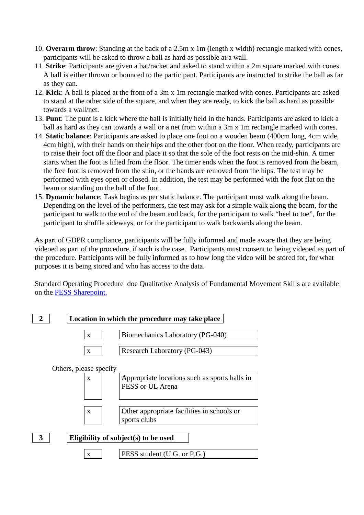- 10. **Overarm throw**: Standing at the back of a 2.5m x 1m (length x width) rectangle marked with cones, participants will be asked to throw a ball as hard as possible at a wall.
- 11. **Strike**: Participants are given a bat/racket and asked to stand within a 2m square marked with cones. A ball is either thrown or bounced to the participant. Participants are instructed to strike the ball as far as they can.
- 12. **Kick**: A ball is placed at the front of a 3m x 1m rectangle marked with cones. Participants are asked to stand at the other side of the square, and when they are ready, to kick the ball as hard as possible towards a wall/net.
- 13. **Punt**: The punt is a kick where the ball is initially held in the hands. Participants are asked to kick a ball as hard as they can towards a wall or a net from within a 3m x 1m rectangle marked with cones.
- 14. **Static balance**: Participants are asked to place one foot on a wooden beam (400cm long, 4cm wide, 4cm high), with their hands on their hips and the other foot on the floor. When ready, participants are to raise their foot off the floor and place it so that the sole of the foot rests on the mid-shin. A timer starts when the foot is lifted from the floor. The timer ends when the foot is removed from the beam, the free foot is removed from the shin, or the hands are removed from the hips. The test may be performed with eyes open or closed. In addition, the test may be performed with the foot flat on the beam or standing on the ball of the foot.
- 15. **Dynamic balance**: Task begins as per static balance. The participant must walk along the beam. Depending on the level of the performers, the test may ask for a simple walk along the beam, for the participant to walk to the end of the beam and back, for the participant to walk "heel to toe", for the participant to shuffle sideways, or for the participant to walk backwards along the beam.

As part of GDPR compliance, participants will be fully informed and made aware that they are being videoed as part of the procedure, if such is the case. Participants must consent to being videoed as part of the procedure. Participants will be fully informed as to how long the video will be stored for, for what purposes it is being stored and who has access to the data.

Standard Operating Procedure doe Qualitative Analysis of Fundamental Movement Skills are available on the [PESS Sharepoint.](https://sharepoint.ul.ie/SiteDirectory/PESS/Health%20and%20Safety1/Forms/AllItems.aspx?RootFolder=%2FSiteDirectory%2FPESS%2FHealth%20and%20Safety1%2FStandard%20Operating%20Procedures%20%28SOPs%29&FolderCTID=0x0120002E02E30FBAFD814CBC402AEF99263DF3&View=%7b8EC70503-3CC9-4972-968D-EFFC98FC7285%7d)

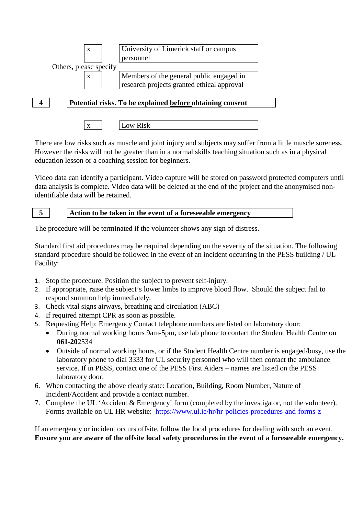

There are low risks such as muscle and joint injury and subjects may suffer from a little muscle soreness. However the risks will not be greater than in a normal skills teaching situation such as in a physical education lesson or a coaching session for beginners.

Video data can identify a participant. Video capture will be stored on password protected computers until data analysis is complete. Video data will be deleted at the end of the project and the anonymised nonidentifiable data will be retained.

**5 Action to be taken in the event of a foreseeable emergency**

The procedure will be terminated if the volunteer shows any sign of distress.

Standard first aid procedures may be required depending on the severity of the situation. The following standard procedure should be followed in the event of an incident occurring in the PESS building / UL Facility:

- 1. Stop the procedure. Position the subject to prevent self-injury.
- 2. If appropriate, raise the subject's lower limbs to improve blood flow. Should the subject fail to respond summon help immediately.
- 3. Check vital signs airways, breathing and circulation (ABC)
- 4. If required attempt CPR as soon as possible.
- 5. Requesting Help: Emergency Contact telephone numbers are listed on laboratory door:
	- During normal working hours 9am-5pm, use lab phone to contact the Student Health Centre on **061-20**2534
	- Outside of normal working hours, or if the Student Health Centre number is engaged/busy, use the laboratory phone to dial 3333 for UL security personnel who will then contact the ambulance service. If in PESS, contact one of the PESS First Aiders – names are listed on the PESS laboratory door.
- 6. When contacting the above clearly state: Location, Building, Room Number, Nature of Incident/Accident and provide a contact number.
- 7. Complete the UL 'Accident & Emergency' form (completed by the investigator, not the volunteer). Forms available on UL HR website: <https://www.ul.ie/hr/hr-policies-procedures-and-forms-z>

If an emergency or incident occurs offsite, follow the local procedures for dealing with such an event. **Ensure you are aware of the offsite local safety procedures in the event of a foreseeable emergency.**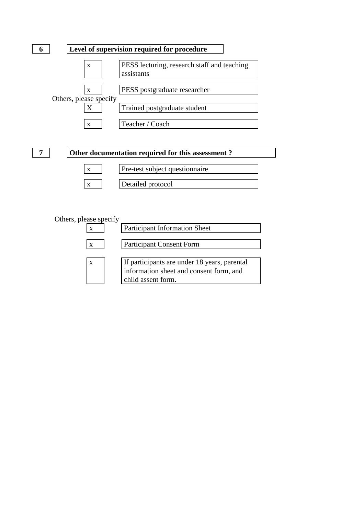



## Others, please specify

|   | <b>Participant Information Sheet</b>                                                                          |
|---|---------------------------------------------------------------------------------------------------------------|
| X | <b>Participant Consent Form</b>                                                                               |
|   | If participants are under 18 years, parental<br>information sheet and consent form, and<br>child assent form. |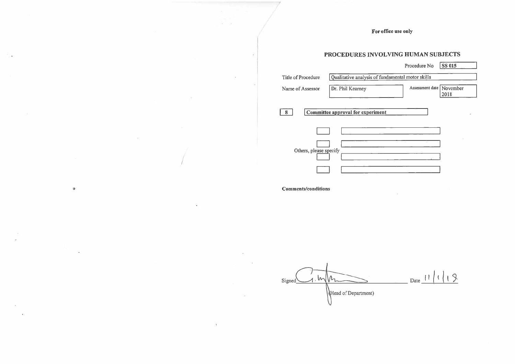For office use only

# PROCEDURES INVOLVING HUMAN SUBJECTS

|                           |                                                  | Procedure No               | <b>SS 015</b> |  |
|---------------------------|--------------------------------------------------|----------------------------|---------------|--|
| <b>Title of Procedure</b> | Qualitative analysis of fundamental motor skills |                            |               |  |
| Name of Assessor          | Dr. Phil Kearney                                 | Assessment date   November | 2018          |  |
| 8                         | Committee approval for experiment                |                            |               |  |
|                           |                                                  |                            |               |  |
| Others, please specify    |                                                  |                            |               |  |
|                           |                                                  |                            |               |  |

# **Comments/conditions**

Date  $11119$  $\longrightarrow M$  $\mathcal{W}_\mathfrak{r}$ Signed Head of Department)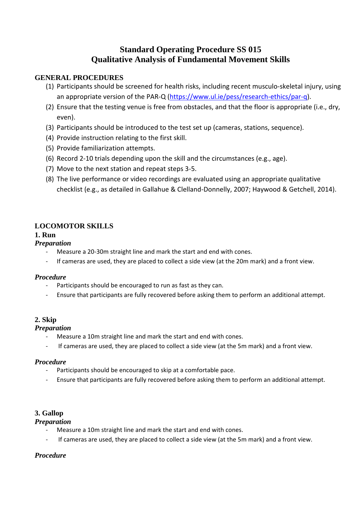# **Standard Operating Procedure SS 015 Qualitative Analysis of Fundamental Movement Skills**

### **GENERAL PROCEDURES**

- (1) Participants should be screened for health risks, including recent musculo-skeletal injury, using an appropriate version of the PAR-Q [\(https://www.ul.ie/pess/research-ethics/par-q\)](https://www.ul.ie/pess/research-ethics/par-q).
- (2) Ensure that the testing venue is free from obstacles, and that the floor is appropriate (i.e., dry, even).
- (3) Participants should be introduced to the test set up (cameras, stations, sequence).
- (4) Provide instruction relating to the first skill.
- (5) Provide familiarization attempts.
- (6) Record 2-10 trials depending upon the skill and the circumstances (e.g., age).
- (7) Move to the next station and repeat steps 3-5.
- (8) The live performance or video recordings are evaluated using an appropriate qualitative checklist (e.g., as detailed in Gallahue & Clelland-Donnelly, 2007; Haywood & Getchell, 2014).

## **LOCOMOTOR SKILLS**

## **1. Run**

#### *Preparation*

- Measure a 20-30m straight line and mark the start and end with cones.
- If cameras are used, they are placed to collect a side view (at the 20m mark) and a front view.

#### *Procedure*

- Participants should be encouraged to run as fast as they can.
- Ensure that participants are fully recovered before asking them to perform an additional attempt.

### **2. Skip**

#### *Preparation*

- Measure a 10m straight line and mark the start and end with cones.
- If cameras are used, they are placed to collect a side view (at the 5m mark) and a front view.

#### *Procedure*

- Participants should be encouraged to skip at a comfortable pace.
- Ensure that participants are fully recovered before asking them to perform an additional attempt.

### **3. Gallop**

### *Preparation*

- Measure a 10m straight line and mark the start and end with cones.
- If cameras are used, they are placed to collect a side view (at the 5m mark) and a front view.

### *Procedure*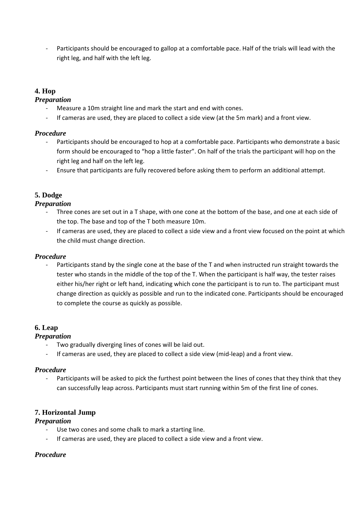Participants should be encouraged to gallop at a comfortable pace. Half of the trials will lead with the right leg, and half with the left leg.

## **4. Hop**

#### *Preparation*

- Measure a 10m straight line and mark the start and end with cones.
- If cameras are used, they are placed to collect a side view (at the 5m mark) and a front view.

#### *Procedure*

- Participants should be encouraged to hop at a comfortable pace. Participants who demonstrate a basic form should be encouraged to "hop a little faster". On half of the trials the participant will hop on the right leg and half on the left leg.
- Ensure that participants are fully recovered before asking them to perform an additional attempt.

# **5. Dodge**

#### *Preparation*

- Three cones are set out in a T shape, with one cone at the bottom of the base, and one at each side of the top. The base and top of the T both measure 10m.
- If cameras are used, they are placed to collect a side view and a front view focused on the point at which the child must change direction.

#### *Procedure*

Participants stand by the single cone at the base of the T and when instructed run straight towards the tester who stands in the middle of the top of the T. When the participant is half way, the tester raises either his/her right or left hand, indicating which cone the participant is to run to. The participant must change direction as quickly as possible and run to the indicated cone. Participants should be encouraged to complete the course as quickly as possible.

### **6. Leap**

### *Preparation*

- Two gradually diverging lines of cones will be laid out.
- If cameras are used, they are placed to collect a side view (mid-leap) and a front view.

#### *Procedure*

Participants will be asked to pick the furthest point between the lines of cones that they think that they can successfully leap across. Participants must start running within 5m of the first line of cones.

### **7. Horizontal Jump**

#### *Preparation*

- Use two cones and some chalk to mark a starting line.
- If cameras are used, they are placed to collect a side view and a front view.

### *Procedure*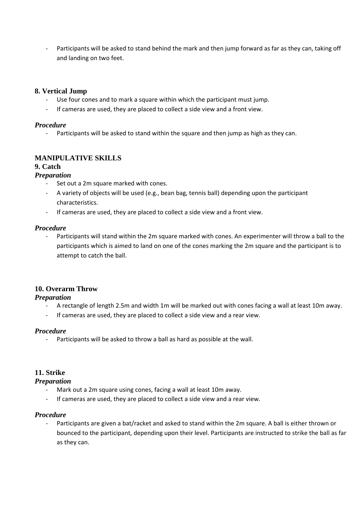Participants will be asked to stand behind the mark and then jump forward as far as they can, taking off and landing on two feet.

#### **8. Vertical Jump**

- Use four cones and to mark a square within which the participant must jump.
- If cameras are used, they are placed to collect a side view and a front view.

#### *Procedure*

- Participants will be asked to stand within the square and then jump as high as they can.

#### **MANIPULATIVE SKILLS**

#### **9. Catch**

#### *Preparation*

- Set out a 2m square marked with cones.
- A variety of objects will be used (e.g., bean bag, tennis ball) depending upon the participant characteristics.
- If cameras are used, they are placed to collect a side view and a front view.

#### *Procedure*

Participants will stand within the 2m square marked with cones. An experimenter will throw a ball to the participants which is aimed to land on one of the cones marking the 2m square and the participant is to attempt to catch the ball.

#### **10. Overarm Throw**

#### *Preparation*

- A rectangle of length 2.5m and width 1m will be marked out with cones facing a wall at least 10m away.
- If cameras are used, they are placed to collect a side view and a rear view.

#### *Procedure*

- Participants will be asked to throw a ball as hard as possible at the wall.

#### **11. Strike**

#### *Preparation*

- Mark out a 2m square using cones, facing a wall at least 10m away.
- If cameras are used, they are placed to collect a side view and a rear view.

#### *Procedure*

Participants are given a bat/racket and asked to stand within the 2m square. A ball is either thrown or bounced to the participant, depending upon their level. Participants are instructed to strike the ball as far as they can.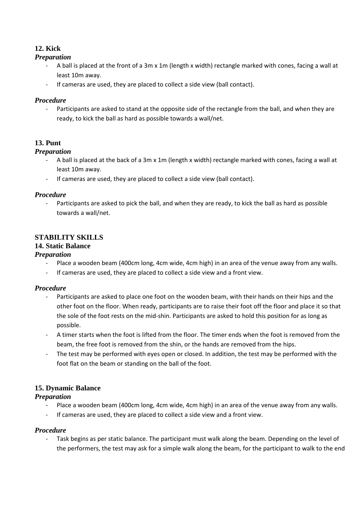# **12. Kick**

#### *Preparation*

- A ball is placed at the front of a 3m x 1m (length x width) rectangle marked with cones, facing a wall at least 10m away.
- If cameras are used, they are placed to collect a side view (ball contact).

#### *Procedure*

Participants are asked to stand at the opposite side of the rectangle from the ball, and when they are ready, to kick the ball as hard as possible towards a wall/net.

## **13. Punt**

#### *Preparation*

- A ball is placed at the back of a 3m x 1m (length x width) rectangle marked with cones, facing a wall at least 10m away.
- If cameras are used, they are placed to collect a side view (ball contact).

#### *Procedure*

Participants are asked to pick the ball, and when they are ready, to kick the ball as hard as possible towards a wall/net.

# **STABILITY SKILLS**

# **14. Static Balance**

#### *Preparation*

- Place a wooden beam (400cm long, 4cm wide, 4cm high) in an area of the venue away from any walls.
- If cameras are used, they are placed to collect a side view and a front view.

#### *Procedure*

- Participants are asked to place one foot on the wooden beam, with their hands on their hips and the other foot on the floor. When ready, participants are to raise their foot off the floor and place it so that the sole of the foot rests on the mid-shin. Participants are asked to hold this position for as long as possible.
- A timer starts when the foot is lifted from the floor. The timer ends when the foot is removed from the beam, the free foot is removed from the shin, or the hands are removed from the hips.
- The test may be performed with eyes open or closed. In addition, the test may be performed with the foot flat on the beam or standing on the ball of the foot.

### **15. Dynamic Balance**

### *Preparation*

- Place a wooden beam (400cm long, 4cm wide, 4cm high) in an area of the venue away from any walls.
- If cameras are used, they are placed to collect a side view and a front view.

#### *Procedure*

Task begins as per static balance. The participant must walk along the beam. Depending on the level of the performers, the test may ask for a simple walk along the beam, for the participant to walk to the end